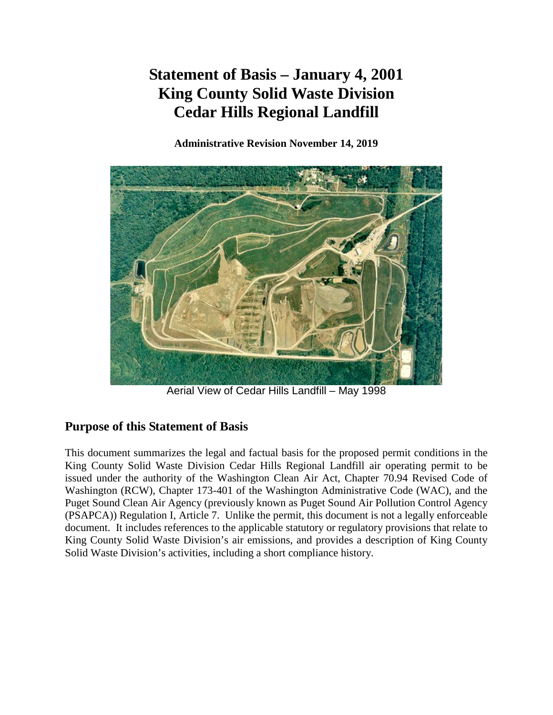# **Statement of Basis – January 4, 2001 King County Solid Waste Division Cedar Hills Regional Landfill**

**Administrative Revision November 14, 2019**



Aerial View of Cedar Hills Landfill – May 1998

# **Purpose of this Statement of Basis**

This document summarizes the legal and factual basis for the proposed permit conditions in the King County Solid Waste Division Cedar Hills Regional Landfill air operating permit to be issued under the authority of the Washington Clean Air Act, Chapter 70.94 Revised Code of Washington (RCW), Chapter 173-401 of the Washington Administrative Code (WAC), and the Puget Sound Clean Air Agency (previously known as Puget Sound Air Pollution Control Agency (PSAPCA)) Regulation I, Article 7. Unlike the permit, this document is not a legally enforceable document. It includes references to the applicable statutory or regulatory provisions that relate to King County Solid Waste Division's air emissions, and provides a description of King County Solid Waste Division's activities, including a short compliance history.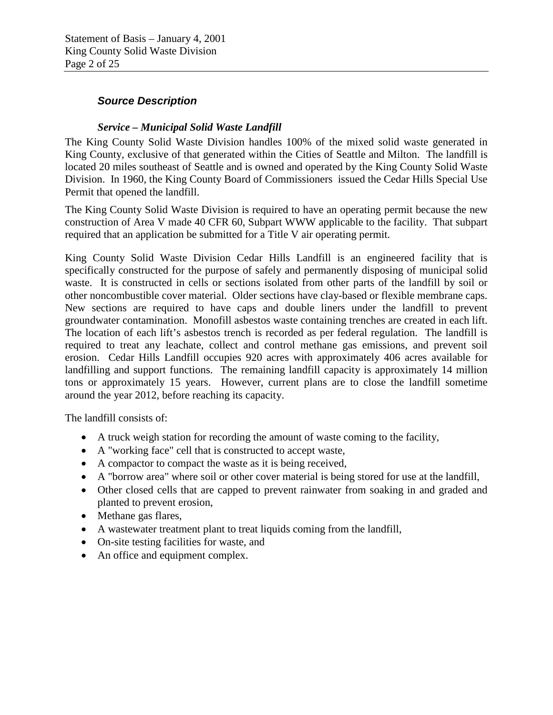#### *Source Description*

#### *Service – Municipal Solid Waste Landfill*

The King County Solid Waste Division handles 100% of the mixed solid waste generated in King County, exclusive of that generated within the Cities of Seattle and Milton. The landfill is located 20 miles southeast of Seattle and is owned and operated by the King County Solid Waste Division. In 1960, the King County Board of Commissioners issued the Cedar Hills Special Use Permit that opened the landfill.

The King County Solid Waste Division is required to have an operating permit because the new construction of Area V made 40 CFR 60, Subpart WWW applicable to the facility. That subpart required that an application be submitted for a Title V air operating permit.

King County Solid Waste Division Cedar Hills Landfill is an engineered facility that is specifically constructed for the purpose of safely and permanently disposing of municipal solid waste. It is constructed in cells or sections isolated from other parts of the landfill by soil or other noncombustible cover material. Older sections have clay-based or flexible membrane caps. New sections are required to have caps and double liners under the landfill to prevent groundwater contamination. Monofill asbestos waste containing trenches are created in each lift. The location of each lift's asbestos trench is recorded as per federal regulation. The landfill is required to treat any leachate, collect and control methane gas emissions, and prevent soil erosion. Cedar Hills Landfill occupies 920 acres with approximately 406 acres available for landfilling and support functions. The remaining landfill capacity is approximately 14 million tons or approximately 15 years. However, current plans are to close the landfill sometime around the year 2012, before reaching its capacity.

The landfill consists of:

- A truck weigh station for recording the amount of waste coming to the facility,
- A "working face" cell that is constructed to accept waste,
- A compactor to compact the waste as it is being received,
- A "borrow area" where soil or other cover material is being stored for use at the landfill,
- Other closed cells that are capped to prevent rainwater from soaking in and graded and planted to prevent erosion,
- Methane gas flares,
- A wastewater treatment plant to treat liquids coming from the landfill,
- On-site testing facilities for waste, and
- An office and equipment complex.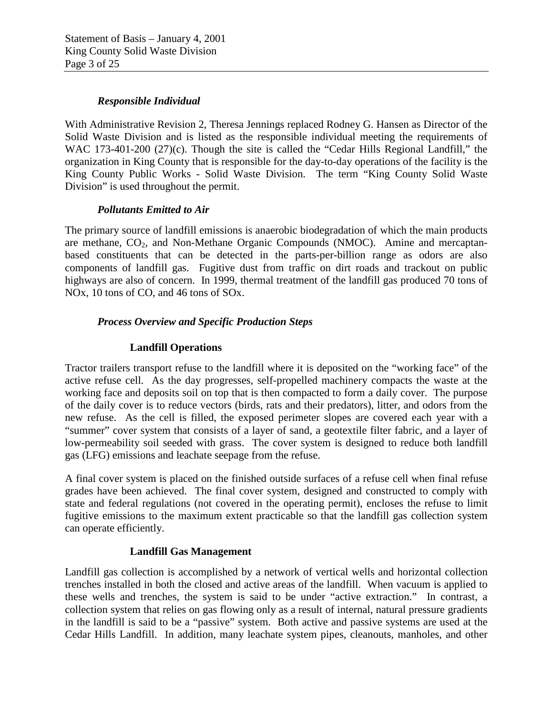#### *Responsible Individual*

With Administrative Revision 2, Theresa Jennings replaced Rodney G. Hansen as Director of the Solid Waste Division and is listed as the responsible individual meeting the requirements of WAC 173-401-200 (27)(c). Though the site is called the "Cedar Hills Regional Landfill," the organization in King County that is responsible for the day-to-day operations of the facility is the King County Public Works - Solid Waste Division. The term "King County Solid Waste Division" is used throughout the permit.

#### *Pollutants Emitted to Air*

The primary source of landfill emissions is anaerobic biodegradation of which the main products are methane,  $CO<sub>2</sub>$ , and Non-Methane Organic Compounds (NMOC). Amine and mercaptanbased constituents that can be detected in the parts-per-billion range as odors are also components of landfill gas. Fugitive dust from traffic on dirt roads and trackout on public highways are also of concern. In 1999, thermal treatment of the landfill gas produced 70 tons of NOx, 10 tons of CO, and 46 tons of SOx.

#### *Process Overview and Specific Production Steps*

#### **Landfill Operations**

Tractor trailers transport refuse to the landfill where it is deposited on the "working face" of the active refuse cell. As the day progresses, self-propelled machinery compacts the waste at the working face and deposits soil on top that is then compacted to form a daily cover. The purpose of the daily cover is to reduce vectors (birds, rats and their predators), litter, and odors from the new refuse. As the cell is filled, the exposed perimeter slopes are covered each year with a "summer" cover system that consists of a layer of sand, a geotextile filter fabric, and a layer of low-permeability soil seeded with grass. The cover system is designed to reduce both landfill gas (LFG) emissions and leachate seepage from the refuse.

A final cover system is placed on the finished outside surfaces of a refuse cell when final refuse grades have been achieved. The final cover system, designed and constructed to comply with state and federal regulations (not covered in the operating permit), encloses the refuse to limit fugitive emissions to the maximum extent practicable so that the landfill gas collection system can operate efficiently.

#### **Landfill Gas Management**

Landfill gas collection is accomplished by a network of vertical wells and horizontal collection trenches installed in both the closed and active areas of the landfill. When vacuum is applied to these wells and trenches, the system is said to be under "active extraction." In contrast, a collection system that relies on gas flowing only as a result of internal, natural pressure gradients in the landfill is said to be a "passive" system. Both active and passive systems are used at the Cedar Hills Landfill. In addition, many leachate system pipes, cleanouts, manholes, and other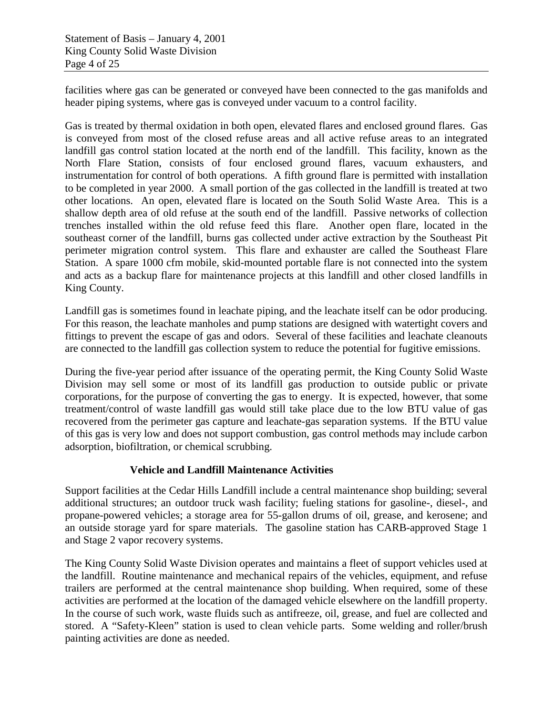facilities where gas can be generated or conveyed have been connected to the gas manifolds and header piping systems, where gas is conveyed under vacuum to a control facility.

Gas is treated by thermal oxidation in both open, elevated flares and enclosed ground flares. Gas is conveyed from most of the closed refuse areas and all active refuse areas to an integrated landfill gas control station located at the north end of the landfill. This facility, known as the North Flare Station, consists of four enclosed ground flares, vacuum exhausters, and instrumentation for control of both operations. A fifth ground flare is permitted with installation to be completed in year 2000. A small portion of the gas collected in the landfill is treated at two other locations. An open, elevated flare is located on the South Solid Waste Area. This is a shallow depth area of old refuse at the south end of the landfill. Passive networks of collection trenches installed within the old refuse feed this flare. Another open flare, located in the southeast corner of the landfill, burns gas collected under active extraction by the Southeast Pit perimeter migration control system. This flare and exhauster are called the Southeast Flare Station. A spare 1000 cfm mobile, skid-mounted portable flare is not connected into the system and acts as a backup flare for maintenance projects at this landfill and other closed landfills in King County.

Landfill gas is sometimes found in leachate piping, and the leachate itself can be odor producing. For this reason, the leachate manholes and pump stations are designed with watertight covers and fittings to prevent the escape of gas and odors. Several of these facilities and leachate cleanouts are connected to the landfill gas collection system to reduce the potential for fugitive emissions.

During the five-year period after issuance of the operating permit, the King County Solid Waste Division may sell some or most of its landfill gas production to outside public or private corporations, for the purpose of converting the gas to energy. It is expected, however, that some treatment/control of waste landfill gas would still take place due to the low BTU value of gas recovered from the perimeter gas capture and leachate-gas separation systems. If the BTU value of this gas is very low and does not support combustion, gas control methods may include carbon adsorption, biofiltration, or chemical scrubbing.

#### **Vehicle and Landfill Maintenance Activities**

Support facilities at the Cedar Hills Landfill include a central maintenance shop building; several additional structures; an outdoor truck wash facility; fueling stations for gasoline-, diesel-, and propane-powered vehicles; a storage area for 55-gallon drums of oil, grease, and kerosene; and an outside storage yard for spare materials. The gasoline station has CARB-approved Stage 1 and Stage 2 vapor recovery systems.

The King County Solid Waste Division operates and maintains a fleet of support vehicles used at the landfill. Routine maintenance and mechanical repairs of the vehicles, equipment, and refuse trailers are performed at the central maintenance shop building. When required, some of these activities are performed at the location of the damaged vehicle elsewhere on the landfill property. In the course of such work, waste fluids such as antifreeze, oil, grease, and fuel are collected and stored. A "Safety-Kleen" station is used to clean vehicle parts. Some welding and roller/brush painting activities are done as needed.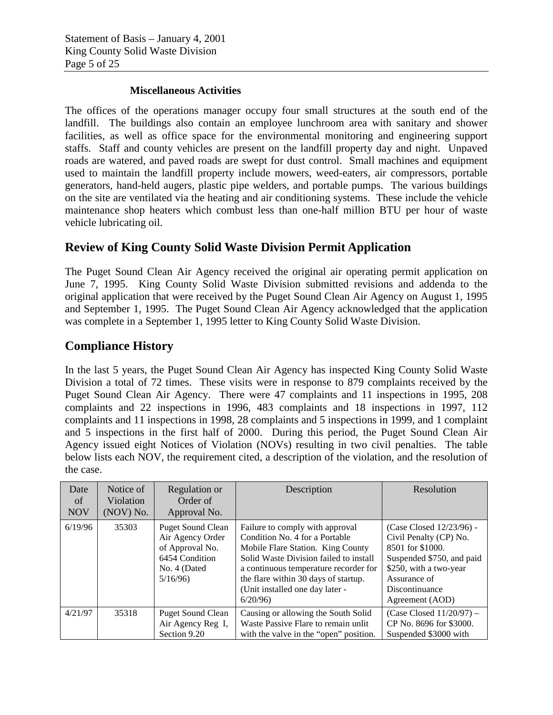#### **Miscellaneous Activities**

The offices of the operations manager occupy four small structures at the south end of the landfill. The buildings also contain an employee lunchroom area with sanitary and shower facilities, as well as office space for the environmental monitoring and engineering support staffs. Staff and county vehicles are present on the landfill property day and night. Unpaved roads are watered, and paved roads are swept for dust control. Small machines and equipment used to maintain the landfill property include mowers, weed-eaters, air compressors, portable generators, hand-held augers, plastic pipe welders, and portable pumps. The various buildings on the site are ventilated via the heating and air conditioning systems. These include the vehicle maintenance shop heaters which combust less than one-half million BTU per hour of waste vehicle lubricating oil.

### **Review of King County Solid Waste Division Permit Application**

The Puget Sound Clean Air Agency received the original air operating permit application on June 7, 1995. King County Solid Waste Division submitted revisions and addenda to the original application that were received by the Puget Sound Clean Air Agency on August 1, 1995 and September 1, 1995. The Puget Sound Clean Air Agency acknowledged that the application was complete in a September 1, 1995 letter to King County Solid Waste Division.

### **Compliance History**

In the last 5 years, the Puget Sound Clean Air Agency has inspected King County Solid Waste Division a total of 72 times. These visits were in response to 879 complaints received by the Puget Sound Clean Air Agency. There were 47 complaints and 11 inspections in 1995, 208 complaints and 22 inspections in 1996, 483 complaints and 18 inspections in 1997, 112 complaints and 11 inspections in 1998, 28 complaints and 5 inspections in 1999, and 1 complaint and 5 inspections in the first half of 2000. During this period, the Puget Sound Clean Air Agency issued eight Notices of Violation (NOVs) resulting in two civil penalties. The table below lists each NOV, the requirement cited, a description of the violation, and the resolution of the case.

| Date<br>of<br><b>NOV</b> | Notice of<br>Violation<br>(NOV) No. | Regulation or<br>Order of<br>Approval No.                                                                    | Description                                                                                                                                                                                                                                                                     | Resolution                                                                                                                                                                         |
|--------------------------|-------------------------------------|--------------------------------------------------------------------------------------------------------------|---------------------------------------------------------------------------------------------------------------------------------------------------------------------------------------------------------------------------------------------------------------------------------|------------------------------------------------------------------------------------------------------------------------------------------------------------------------------------|
| 6/19/96                  | 35303                               | <b>Puget Sound Clean</b><br>Air Agency Order<br>of Approval No.<br>6454 Condition<br>No. 4 (Dated<br>5/16/96 | Failure to comply with approval<br>Condition No. 4 for a Portable<br>Mobile Flare Station. King County<br>Solid Waste Division failed to install<br>a continuous temperature recorder for<br>the flare within 30 days of startup.<br>(Unit installed one day later -<br>6/20/96 | (Case Closed 12/23/96) -<br>Civil Penalty (CP) No.<br>8501 for \$1000.<br>Suspended \$750, and paid<br>\$250, with a two-year<br>Assurance of<br>Discontinuance<br>Agreement (AOD) |
| 4/21/97                  | 35318                               | <b>Puget Sound Clean</b><br>Air Agency Reg I,<br>Section 9.20                                                | Causing or allowing the South Solid<br>Waste Passive Flare to remain unlit<br>with the valve in the "open" position.                                                                                                                                                            | (Case Closed $11/20/97$ ) –<br>CP No. 8696 for \$3000.<br>Suspended \$3000 with                                                                                                    |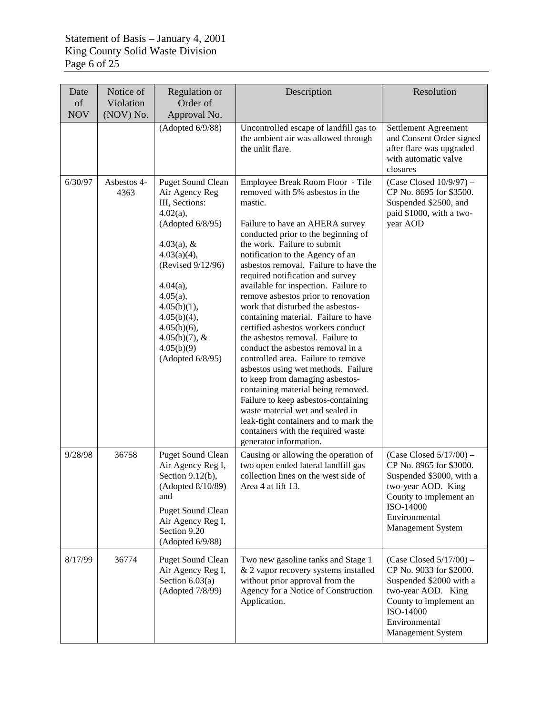| Date<br>of | Notice of<br>Violation | Regulation or<br>Order of                                                                                                                                                                                                                                                             | Description                                                                                                                                                                                                                                                                                                                                                                                                                                                                                                                                                                                                                                                                                                                                                                                                                                                                                                                   | Resolution                                                                                                                                                                          |
|------------|------------------------|---------------------------------------------------------------------------------------------------------------------------------------------------------------------------------------------------------------------------------------------------------------------------------------|-------------------------------------------------------------------------------------------------------------------------------------------------------------------------------------------------------------------------------------------------------------------------------------------------------------------------------------------------------------------------------------------------------------------------------------------------------------------------------------------------------------------------------------------------------------------------------------------------------------------------------------------------------------------------------------------------------------------------------------------------------------------------------------------------------------------------------------------------------------------------------------------------------------------------------|-------------------------------------------------------------------------------------------------------------------------------------------------------------------------------------|
| <b>NOV</b> | (NOV) No.              | Approval No.<br>(Adopted 6/9/88)                                                                                                                                                                                                                                                      | Uncontrolled escape of landfill gas to<br>the ambient air was allowed through<br>the unlit flare.                                                                                                                                                                                                                                                                                                                                                                                                                                                                                                                                                                                                                                                                                                                                                                                                                             | Settlement Agreement<br>and Consent Order signed<br>after flare was upgraded<br>with automatic valve<br>closures                                                                    |
| 6/30/97    | Asbestos 4-<br>4363    | <b>Puget Sound Clean</b><br>Air Agency Reg<br>III, Sections:<br>$4.02(a)$ ,<br>(Adopted 6/8/95)<br>$4.03(a)$ , &<br>4.03(a)(4),<br>(Revised 9/12/96)<br>4.04(a),<br>$4.05(a)$ ,<br>4.05(b)(1),<br>4.05(b)(4),<br>$4.05(b)(6)$ ,<br>$4.05(b)(7)$ , &<br>4.05(b)(9)<br>(Adopted 6/8/95) | Employee Break Room Floor - Tile<br>removed with 5% asbestos in the<br>mastic.<br>Failure to have an AHERA survey<br>conducted prior to the beginning of<br>the work. Failure to submit<br>notification to the Agency of an<br>asbestos removal. Failure to have the<br>required notification and survey<br>available for inspection. Failure to<br>remove asbestos prior to renovation<br>work that disturbed the asbestos-<br>containing material. Failure to have<br>certified asbestos workers conduct<br>the asbestos removal. Failure to<br>conduct the asbestos removal in a<br>controlled area. Failure to remove<br>asbestos using wet methods. Failure<br>to keep from damaging asbestos-<br>containing material being removed.<br>Failure to keep asbestos-containing<br>waste material wet and sealed in<br>leak-tight containers and to mark the<br>containers with the required waste<br>generator information. | $(Case Closed 10/9/97) -$<br>CP No. 8695 for \$3500.<br>Suspended \$2500, and<br>paid \$1000, with a two-<br>year AOD                                                               |
| 9/28/98    | 36758                  | <b>Puget Sound Clean</b><br>Air Agency Reg I,<br>Section $9.12(b)$ ,<br>(Adopted 8/10/89)<br>and<br><b>Puget Sound Clean</b><br>Air Agency Reg I,<br>Section 9.20<br>(Adopted 6/9/88)                                                                                                 | Causing or allowing the operation of<br>two open ended lateral landfill gas<br>collection lines on the west side of<br>Area 4 at lift 13.                                                                                                                                                                                                                                                                                                                                                                                                                                                                                                                                                                                                                                                                                                                                                                                     | $(Case Closed 5/17/00) -$<br>CP No. 8965 for \$3000.<br>Suspended \$3000, with a<br>two-year AOD. King<br>County to implement an<br>ISO-14000<br>Environmental<br>Management System |
| 8/17/99    | 36774                  | <b>Puget Sound Clean</b><br>Air Agency Reg I,<br>Section $6.03(a)$<br>(Adopted 7/8/99)                                                                                                                                                                                                | Two new gasoline tanks and Stage 1<br>& 2 vapor recovery systems installed<br>without prior approval from the<br>Agency for a Notice of Construction<br>Application.                                                                                                                                                                                                                                                                                                                                                                                                                                                                                                                                                                                                                                                                                                                                                          | $(Case Closed 5/17/00) -$<br>CP No. 9033 for \$2000.<br>Suspended \$2000 with a<br>two-year AOD. King<br>County to implement an<br>ISO-14000<br>Environmental<br>Management System  |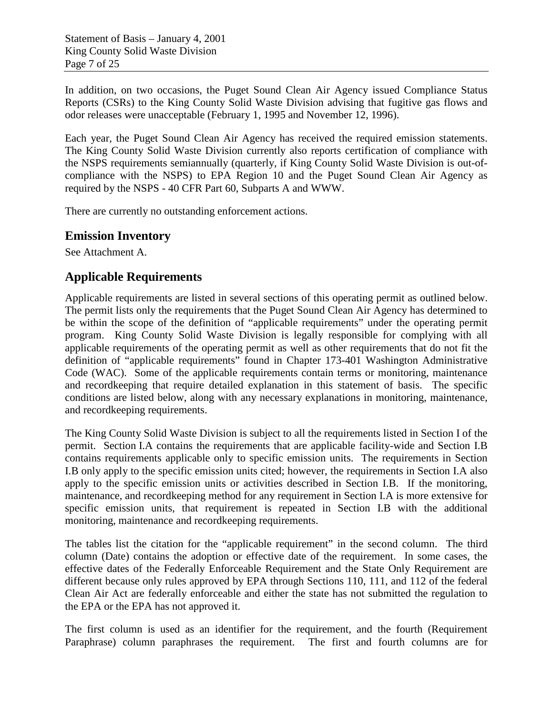Statement of Basis – January 4, 2001 King County Solid Waste Division Page 7 of 25

In addition, on two occasions, the Puget Sound Clean Air Agency issued Compliance Status Reports (CSRs) to the King County Solid Waste Division advising that fugitive gas flows and odor releases were unacceptable (February 1, 1995 and November 12, 1996).

Each year, the Puget Sound Clean Air Agency has received the required emission statements. The King County Solid Waste Division currently also reports certification of compliance with the NSPS requirements semiannually (quarterly, if King County Solid Waste Division is out-ofcompliance with the NSPS) to EPA Region 10 and the Puget Sound Clean Air Agency as required by the NSPS - 40 CFR Part 60, Subparts A and WWW.

There are currently no outstanding enforcement actions.

#### **Emission Inventory**

See Attachment A.

### **Applicable Requirements**

Applicable requirements are listed in several sections of this operating permit as outlined below. The permit lists only the requirements that the Puget Sound Clean Air Agency has determined to be within the scope of the definition of "applicable requirements" under the operating permit program. King County Solid Waste Division is legally responsible for complying with all applicable requirements of the operating permit as well as other requirements that do not fit the definition of "applicable requirements" found in Chapter 173-401 Washington Administrative Code (WAC). Some of the applicable requirements contain terms or monitoring, maintenance and recordkeeping that require detailed explanation in this statement of basis. The specific conditions are listed below, along with any necessary explanations in monitoring, maintenance, and recordkeeping requirements.

The King County Solid Waste Division is subject to all the requirements listed in Section I of the permit. Section I.A contains the requirements that are applicable facility-wide and Section I.B contains requirements applicable only to specific emission units. The requirements in Section I.B only apply to the specific emission units cited; however, the requirements in Section I.A also apply to the specific emission units or activities described in Section I.B. If the monitoring, maintenance, and recordkeeping method for any requirement in Section I.A is more extensive for specific emission units, that requirement is repeated in Section I.B with the additional monitoring, maintenance and recordkeeping requirements.

The tables list the citation for the "applicable requirement" in the second column. The third column (Date) contains the adoption or effective date of the requirement. In some cases, the effective dates of the Federally Enforceable Requirement and the State Only Requirement are different because only rules approved by EPA through Sections 110, 111, and 112 of the federal Clean Air Act are federally enforceable and either the state has not submitted the regulation to the EPA or the EPA has not approved it.

The first column is used as an identifier for the requirement, and the fourth (Requirement Paraphrase) column paraphrases the requirement. The first and fourth columns are for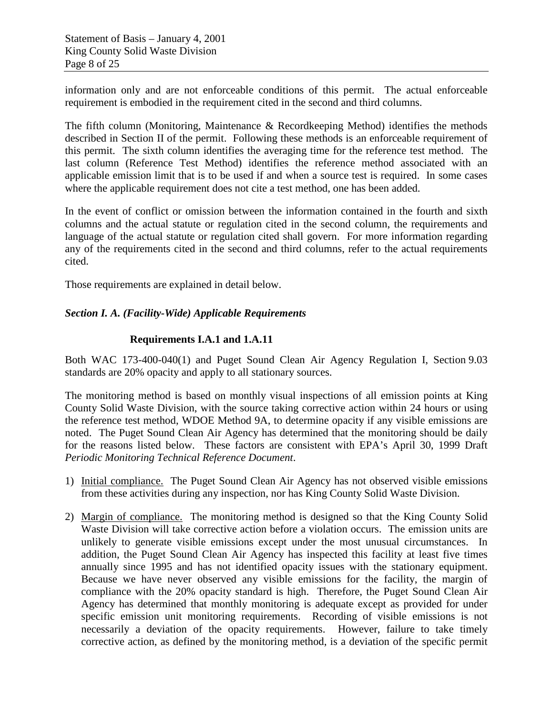information only and are not enforceable conditions of this permit. The actual enforceable requirement is embodied in the requirement cited in the second and third columns.

The fifth column (Monitoring, Maintenance & Recordkeeping Method) identifies the methods described in Section II of the permit. Following these methods is an enforceable requirement of this permit. The sixth column identifies the averaging time for the reference test method. The last column (Reference Test Method) identifies the reference method associated with an applicable emission limit that is to be used if and when a source test is required. In some cases where the applicable requirement does not cite a test method, one has been added.

In the event of conflict or omission between the information contained in the fourth and sixth columns and the actual statute or regulation cited in the second column, the requirements and language of the actual statute or regulation cited shall govern. For more information regarding any of the requirements cited in the second and third columns, refer to the actual requirements cited.

Those requirements are explained in detail below.

#### *Section I. A. (Facility-Wide) Applicable Requirements*

#### **Requirements I.A.1 and 1.A.11**

Both WAC 173-400-040(1) and Puget Sound Clean Air Agency Regulation I, Section 9.03 standards are 20% opacity and apply to all stationary sources.

The monitoring method is based on monthly visual inspections of all emission points at King County Solid Waste Division, with the source taking corrective action within 24 hours or using the reference test method, WDOE Method 9A, to determine opacity if any visible emissions are noted. The Puget Sound Clean Air Agency has determined that the monitoring should be daily for the reasons listed below. These factors are consistent with EPA's April 30, 1999 Draft *Periodic Monitoring Technical Reference Document*.

- 1) Initial compliance. The Puget Sound Clean Air Agency has not observed visible emissions from these activities during any inspection, nor has King County Solid Waste Division.
- 2) Margin of compliance. The monitoring method is designed so that the King County Solid Waste Division will take corrective action before a violation occurs. The emission units are unlikely to generate visible emissions except under the most unusual circumstances. In addition, the Puget Sound Clean Air Agency has inspected this facility at least five times annually since 1995 and has not identified opacity issues with the stationary equipment. Because we have never observed any visible emissions for the facility, the margin of compliance with the 20% opacity standard is high. Therefore, the Puget Sound Clean Air Agency has determined that monthly monitoring is adequate except as provided for under specific emission unit monitoring requirements. Recording of visible emissions is not necessarily a deviation of the opacity requirements. However, failure to take timely corrective action, as defined by the monitoring method, is a deviation of the specific permit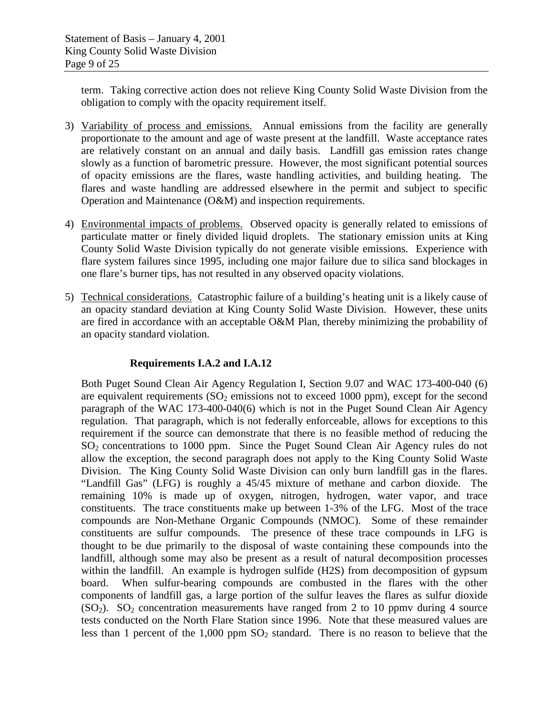term. Taking corrective action does not relieve King County Solid Waste Division from the obligation to comply with the opacity requirement itself.

- 3) Variability of process and emissions. Annual emissions from the facility are generally proportionate to the amount and age of waste present at the landfill. Waste acceptance rates are relatively constant on an annual and daily basis. Landfill gas emission rates change slowly as a function of barometric pressure. However, the most significant potential sources of opacity emissions are the flares, waste handling activities, and building heating. The flares and waste handling are addressed elsewhere in the permit and subject to specific Operation and Maintenance (O&M) and inspection requirements.
- 4) Environmental impacts of problems. Observed opacity is generally related to emissions of particulate matter or finely divided liquid droplets. The stationary emission units at King County Solid Waste Division typically do not generate visible emissions. Experience with flare system failures since 1995, including one major failure due to silica sand blockages in one flare's burner tips, has not resulted in any observed opacity violations.
- 5) Technical considerations. Catastrophic failure of a building's heating unit is a likely cause of an opacity standard deviation at King County Solid Waste Division. However, these units are fired in accordance with an acceptable O&M Plan, thereby minimizing the probability of an opacity standard violation.

#### **Requirements I.A.2 and I.A.12**

Both Puget Sound Clean Air Agency Regulation I, Section 9.07 and WAC 173-400-040 (6) are equivalent requirements  $(SO<sub>2</sub>$  emissions not to exceed 1000 ppm), except for the second paragraph of the WAC 173-400-040(6) which is not in the Puget Sound Clean Air Agency regulation. That paragraph, which is not federally enforceable, allows for exceptions to this requirement if the source can demonstrate that there is no feasible method of reducing the  $SO<sub>2</sub>$  concentrations to 1000 ppm. Since the Puget Sound Clean Air Agency rules do not allow the exception, the second paragraph does not apply to the King County Solid Waste Division. The King County Solid Waste Division can only burn landfill gas in the flares. "Landfill Gas" (LFG) is roughly a 45/45 mixture of methane and carbon dioxide. The remaining 10% is made up of oxygen, nitrogen, hydrogen, water vapor, and trace constituents. The trace constituents make up between 1-3% of the LFG. Most of the trace compounds are Non-Methane Organic Compounds (NMOC). Some of these remainder constituents are sulfur compounds. The presence of these trace compounds in LFG is thought to be due primarily to the disposal of waste containing these compounds into the landfill, although some may also be present as a result of natural decomposition processes within the landfill. An example is hydrogen sulfide (H2S) from decomposition of gypsum board. When sulfur-bearing compounds are combusted in the flares with the other components of landfill gas, a large portion of the sulfur leaves the flares as sulfur dioxide  $(SO<sub>2</sub>)$ .  $SO<sub>2</sub>$  concentration measurements have ranged from 2 to 10 ppmv during 4 source tests conducted on the North Flare Station since 1996. Note that these measured values are less than 1 percent of the 1,000 ppm  $SO_2$  standard. There is no reason to believe that the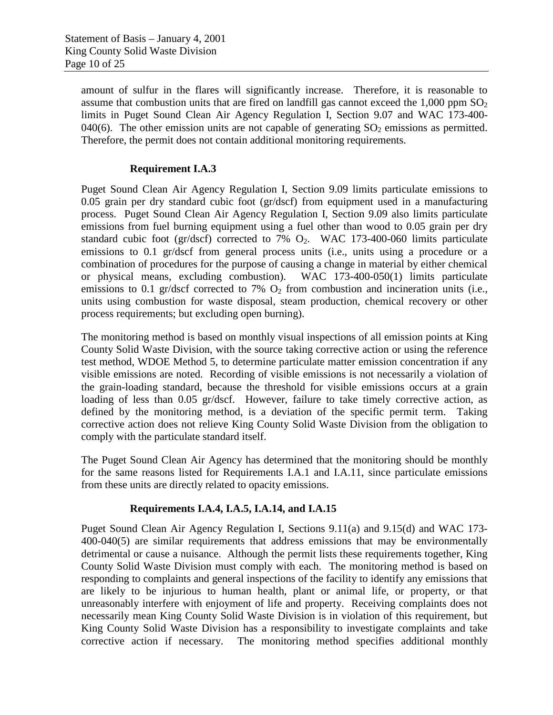amount of sulfur in the flares will significantly increase. Therefore, it is reasonable to assume that combustion units that are fired on landfill gas cannot exceed the  $1,000$  ppm  $SO<sub>2</sub>$ limits in Puget Sound Clean Air Agency Regulation I, Section 9.07 and WAC 173-400- 040(6). The other emission units are not capable of generating  $SO_2$  emissions as permitted. Therefore, the permit does not contain additional monitoring requirements.

#### **Requirement I.A.3**

Puget Sound Clean Air Agency Regulation I, Section 9.09 limits particulate emissions to 0.05 grain per dry standard cubic foot (gr/dscf) from equipment used in a manufacturing process. Puget Sound Clean Air Agency Regulation I, Section 9.09 also limits particulate emissions from fuel burning equipment using a fuel other than wood to 0.05 grain per dry standard cubic foot (gr/dscf) corrected to 7%  $O<sub>2</sub>$ . WAC 173-400-060 limits particulate emissions to 0.1 gr/dscf from general process units (i.e., units using a procedure or a combination of procedures for the purpose of causing a change in material by either chemical or physical means, excluding combustion). WAC 173-400-050(1) limits particulate emissions to 0.1 gr/dscf corrected to 7%  $O_2$  from combustion and incineration units (i.e., units using combustion for waste disposal, steam production, chemical recovery or other process requirements; but excluding open burning).

The monitoring method is based on monthly visual inspections of all emission points at King County Solid Waste Division, with the source taking corrective action or using the reference test method, WDOE Method 5, to determine particulate matter emission concentration if any visible emissions are noted. Recording of visible emissions is not necessarily a violation of the grain-loading standard, because the threshold for visible emissions occurs at a grain loading of less than 0.05 gr/dscf. However, failure to take timely corrective action, as defined by the monitoring method, is a deviation of the specific permit term. Taking corrective action does not relieve King County Solid Waste Division from the obligation to comply with the particulate standard itself.

The Puget Sound Clean Air Agency has determined that the monitoring should be monthly for the same reasons listed for Requirements I.A.1 and I.A.11, since particulate emissions from these units are directly related to opacity emissions.

#### **Requirements I.A.4, I.A.5, I.A.14, and I.A.15**

Puget Sound Clean Air Agency Regulation I, Sections 9.11(a) and 9.15(d) and WAC 173- 400-040(5) are similar requirements that address emissions that may be environmentally detrimental or cause a nuisance. Although the permit lists these requirements together, King County Solid Waste Division must comply with each. The monitoring method is based on responding to complaints and general inspections of the facility to identify any emissions that are likely to be injurious to human health, plant or animal life, or property, or that unreasonably interfere with enjoyment of life and property. Receiving complaints does not necessarily mean King County Solid Waste Division is in violation of this requirement, but King County Solid Waste Division has a responsibility to investigate complaints and take corrective action if necessary. The monitoring method specifies additional monthly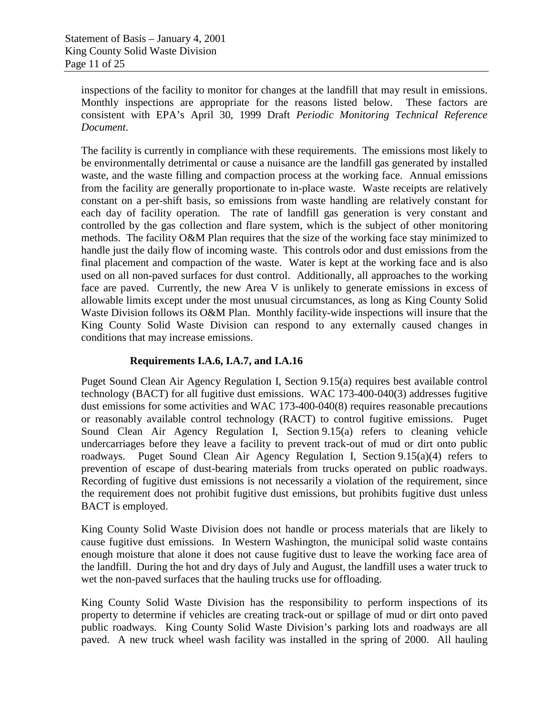inspections of the facility to monitor for changes at the landfill that may result in emissions. Monthly inspections are appropriate for the reasons listed below. These factors are consistent with EPA's April 30, 1999 Draft *Periodic Monitoring Technical Reference Document*.

The facility is currently in compliance with these requirements. The emissions most likely to be environmentally detrimental or cause a nuisance are the landfill gas generated by installed waste, and the waste filling and compaction process at the working face. Annual emissions from the facility are generally proportionate to in-place waste. Waste receipts are relatively constant on a per-shift basis, so emissions from waste handling are relatively constant for each day of facility operation. The rate of landfill gas generation is very constant and controlled by the gas collection and flare system, which is the subject of other monitoring methods. The facility O&M Plan requires that the size of the working face stay minimized to handle just the daily flow of incoming waste. This controls odor and dust emissions from the final placement and compaction of the waste. Water is kept at the working face and is also used on all non-paved surfaces for dust control. Additionally, all approaches to the working face are paved. Currently, the new Area V is unlikely to generate emissions in excess of allowable limits except under the most unusual circumstances, as long as King County Solid Waste Division follows its O&M Plan. Monthly facility-wide inspections will insure that the King County Solid Waste Division can respond to any externally caused changes in conditions that may increase emissions.

#### **Requirements I.A.6, I.A.7, and I.A.16**

Puget Sound Clean Air Agency Regulation I, Section 9.15(a) requires best available control technology (BACT) for all fugitive dust emissions. WAC 173-400-040(3) addresses fugitive dust emissions for some activities and WAC 173-400-040(8) requires reasonable precautions or reasonably available control technology (RACT) to control fugitive emissions. Puget Sound Clean Air Agency Regulation I, Section 9.15(a) refers to cleaning vehicle undercarriages before they leave a facility to prevent track-out of mud or dirt onto public roadways. Puget Sound Clean Air Agency Regulation I, Section 9.15(a)(4) refers to prevention of escape of dust-bearing materials from trucks operated on public roadways. Recording of fugitive dust emissions is not necessarily a violation of the requirement, since the requirement does not prohibit fugitive dust emissions, but prohibits fugitive dust unless BACT is employed.

King County Solid Waste Division does not handle or process materials that are likely to cause fugitive dust emissions. In Western Washington, the municipal solid waste contains enough moisture that alone it does not cause fugitive dust to leave the working face area of the landfill. During the hot and dry days of July and August, the landfill uses a water truck to wet the non-paved surfaces that the hauling trucks use for offloading.

King County Solid Waste Division has the responsibility to perform inspections of its property to determine if vehicles are creating track-out or spillage of mud or dirt onto paved public roadways. King County Solid Waste Division's parking lots and roadways are all paved. A new truck wheel wash facility was installed in the spring of 2000. All hauling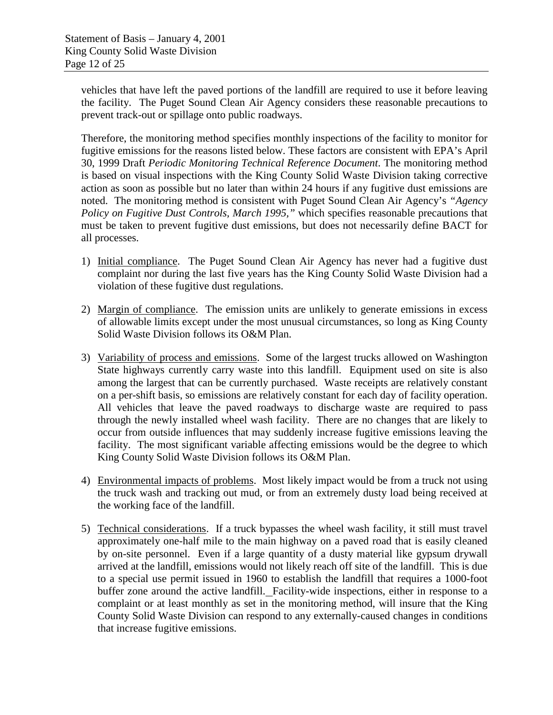vehicles that have left the paved portions of the landfill are required to use it before leaving the facility. The Puget Sound Clean Air Agency considers these reasonable precautions to prevent track-out or spillage onto public roadways.

Therefore, the monitoring method specifies monthly inspections of the facility to monitor for fugitive emissions for the reasons listed below. These factors are consistent with EPA's April 30, 1999 Draft *Periodic Monitoring Technical Reference Document*. The monitoring method is based on visual inspections with the King County Solid Waste Division taking corrective action as soon as possible but no later than within 24 hours if any fugitive dust emissions are noted. The monitoring method is consistent with Puget Sound Clean Air Agency's *"Agency Policy on Fugitive Dust Controls, March 1995,"* which specifies reasonable precautions that must be taken to prevent fugitive dust emissions, but does not necessarily define BACT for all processes.

- 1) Initial compliance. The Puget Sound Clean Air Agency has never had a fugitive dust complaint nor during the last five years has the King County Solid Waste Division had a violation of these fugitive dust regulations.
- 2) Margin of compliance. The emission units are unlikely to generate emissions in excess of allowable limits except under the most unusual circumstances, so long as King County Solid Waste Division follows its O&M Plan.
- 3) Variability of process and emissions. Some of the largest trucks allowed on Washington State highways currently carry waste into this landfill. Equipment used on site is also among the largest that can be currently purchased. Waste receipts are relatively constant on a per-shift basis, so emissions are relatively constant for each day of facility operation. All vehicles that leave the paved roadways to discharge waste are required to pass through the newly installed wheel wash facility. There are no changes that are likely to occur from outside influences that may suddenly increase fugitive emissions leaving the facility. The most significant variable affecting emissions would be the degree to which King County Solid Waste Division follows its O&M Plan.
- 4) Environmental impacts of problems. Most likely impact would be from a truck not using the truck wash and tracking out mud, or from an extremely dusty load being received at the working face of the landfill.
- 5) Technical considerations. If a truck bypasses the wheel wash facility, it still must travel approximately one-half mile to the main highway on a paved road that is easily cleaned by on-site personnel. Even if a large quantity of a dusty material like gypsum drywall arrived at the landfill, emissions would not likely reach off site of the landfill. This is due to a special use permit issued in 1960 to establish the landfill that requires a 1000-foot buffer zone around the active landfill. Facility-wide inspections, either in response to a complaint or at least monthly as set in the monitoring method, will insure that the King County Solid Waste Division can respond to any externally-caused changes in conditions that increase fugitive emissions.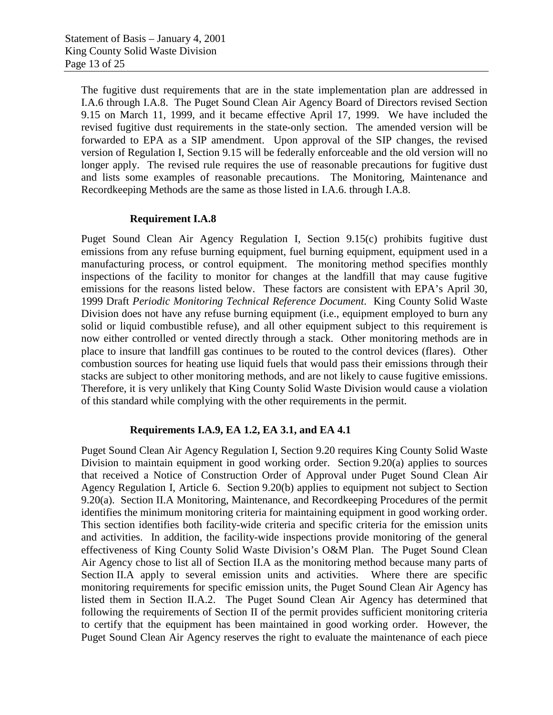The fugitive dust requirements that are in the state implementation plan are addressed in I.A.6 through I.A.8. The Puget Sound Clean Air Agency Board of Directors revised Section 9.15 on March 11, 1999, and it became effective April 17, 1999. We have included the revised fugitive dust requirements in the state-only section. The amended version will be forwarded to EPA as a SIP amendment. Upon approval of the SIP changes, the revised version of Regulation I, Section 9.15 will be federally enforceable and the old version will no longer apply. The revised rule requires the use of reasonable precautions for fugitive dust and lists some examples of reasonable precautions. The Monitoring, Maintenance and Recordkeeping Methods are the same as those listed in I.A.6. through I.A.8.

#### **Requirement I.A.8**

Puget Sound Clean Air Agency Regulation I, Section 9.15(c) prohibits fugitive dust emissions from any refuse burning equipment, fuel burning equipment, equipment used in a manufacturing process, or control equipment. The monitoring method specifies monthly inspections of the facility to monitor for changes at the landfill that may cause fugitive emissions for the reasons listed below. These factors are consistent with EPA's April 30, 1999 Draft *Periodic Monitoring Technical Reference Document*. King County Solid Waste Division does not have any refuse burning equipment (i.e., equipment employed to burn any solid or liquid combustible refuse), and all other equipment subject to this requirement is now either controlled or vented directly through a stack. Other monitoring methods are in place to insure that landfill gas continues to be routed to the control devices (flares). Other combustion sources for heating use liquid fuels that would pass their emissions through their stacks are subject to other monitoring methods, and are not likely to cause fugitive emissions. Therefore, it is very unlikely that King County Solid Waste Division would cause a violation of this standard while complying with the other requirements in the permit.

#### **Requirements I.A.9, EA 1.2, EA 3.1, and EA 4.1**

Puget Sound Clean Air Agency Regulation I, Section 9.20 requires King County Solid Waste Division to maintain equipment in good working order. Section 9.20(a) applies to sources that received a Notice of Construction Order of Approval under Puget Sound Clean Air Agency Regulation I, Article 6. Section 9.20(b) applies to equipment not subject to Section 9.20(a). Section II.A Monitoring, Maintenance, and Recordkeeping Procedures of the permit identifies the minimum monitoring criteria for maintaining equipment in good working order. This section identifies both facility-wide criteria and specific criteria for the emission units and activities. In addition, the facility-wide inspections provide monitoring of the general effectiveness of King County Solid Waste Division's O&M Plan. The Puget Sound Clean Air Agency chose to list all of Section II.A as the monitoring method because many parts of Section II.A apply to several emission units and activities. Where there are specific monitoring requirements for specific emission units, the Puget Sound Clean Air Agency has listed them in Section II.A.2. The Puget Sound Clean Air Agency has determined that following the requirements of Section II of the permit provides sufficient monitoring criteria to certify that the equipment has been maintained in good working order. However, the Puget Sound Clean Air Agency reserves the right to evaluate the maintenance of each piece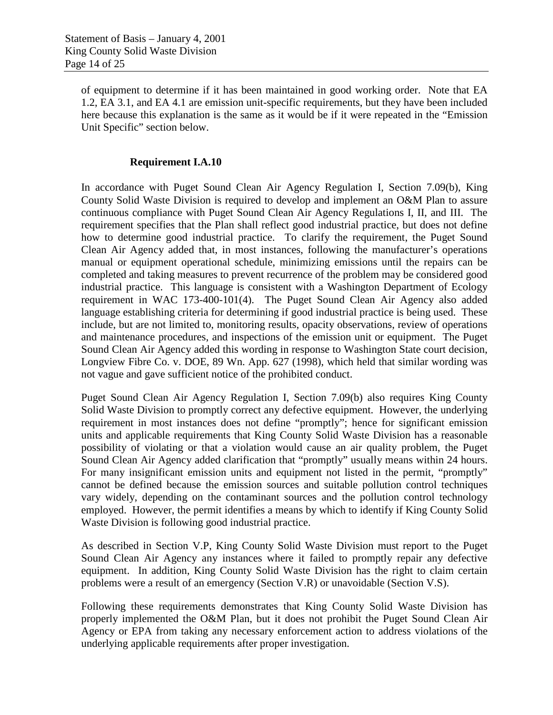of equipment to determine if it has been maintained in good working order. Note that EA 1.2, EA 3.1, and EA 4.1 are emission unit-specific requirements, but they have been included here because this explanation is the same as it would be if it were repeated in the "Emission Unit Specific" section below.

#### **Requirement I.A.10**

In accordance with Puget Sound Clean Air Agency Regulation I, Section 7.09(b), King County Solid Waste Division is required to develop and implement an O&M Plan to assure continuous compliance with Puget Sound Clean Air Agency Regulations I, II, and III. The requirement specifies that the Plan shall reflect good industrial practice, but does not define how to determine good industrial practice. To clarify the requirement, the Puget Sound Clean Air Agency added that, in most instances, following the manufacturer's operations manual or equipment operational schedule, minimizing emissions until the repairs can be completed and taking measures to prevent recurrence of the problem may be considered good industrial practice. This language is consistent with a Washington Department of Ecology requirement in WAC 173-400-101(4). The Puget Sound Clean Air Agency also added language establishing criteria for determining if good industrial practice is being used. These include, but are not limited to, monitoring results, opacity observations, review of operations and maintenance procedures, and inspections of the emission unit or equipment. The Puget Sound Clean Air Agency added this wording in response to Washington State court decision, Longview Fibre Co. v. DOE, 89 Wn. App. 627 (1998), which held that similar wording was not vague and gave sufficient notice of the prohibited conduct.

Puget Sound Clean Air Agency Regulation I, Section 7.09(b) also requires King County Solid Waste Division to promptly correct any defective equipment. However, the underlying requirement in most instances does not define "promptly"; hence for significant emission units and applicable requirements that King County Solid Waste Division has a reasonable possibility of violating or that a violation would cause an air quality problem, the Puget Sound Clean Air Agency added clarification that "promptly" usually means within 24 hours. For many insignificant emission units and equipment not listed in the permit, "promptly" cannot be defined because the emission sources and suitable pollution control techniques vary widely, depending on the contaminant sources and the pollution control technology employed. However, the permit identifies a means by which to identify if King County Solid Waste Division is following good industrial practice.

As described in Section V.P, King County Solid Waste Division must report to the Puget Sound Clean Air Agency any instances where it failed to promptly repair any defective equipment. In addition, King County Solid Waste Division has the right to claim certain problems were a result of an emergency (Section V.R) or unavoidable (Section V.S).

Following these requirements demonstrates that King County Solid Waste Division has properly implemented the O&M Plan, but it does not prohibit the Puget Sound Clean Air Agency or EPA from taking any necessary enforcement action to address violations of the underlying applicable requirements after proper investigation.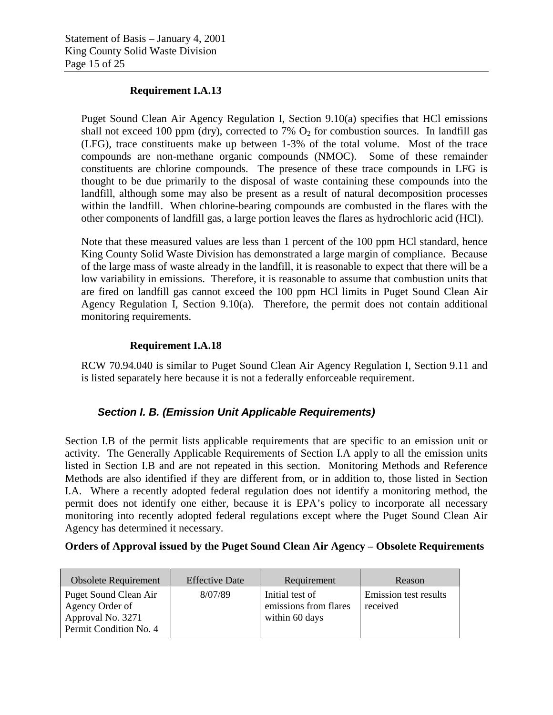#### **Requirement I.A.13**

Puget Sound Clean Air Agency Regulation I, Section 9.10(a) specifies that HCl emissions shall not exceed 100 ppm (dry), corrected to 7%  $O_2$  for combustion sources. In landfill gas (LFG), trace constituents make up between 1-3% of the total volume. Most of the trace compounds are non-methane organic compounds (NMOC). Some of these remainder constituents are chlorine compounds. The presence of these trace compounds in LFG is thought to be due primarily to the disposal of waste containing these compounds into the landfill, although some may also be present as a result of natural decomposition processes within the landfill. When chlorine-bearing compounds are combusted in the flares with the other components of landfill gas, a large portion leaves the flares as hydrochloric acid (HCl).

Note that these measured values are less than 1 percent of the 100 ppm HCl standard, hence King County Solid Waste Division has demonstrated a large margin of compliance. Because of the large mass of waste already in the landfill, it is reasonable to expect that there will be a low variability in emissions. Therefore, it is reasonable to assume that combustion units that are fired on landfill gas cannot exceed the 100 ppm HCl limits in Puget Sound Clean Air Agency Regulation I, Section 9.10(a). Therefore, the permit does not contain additional monitoring requirements.

#### **Requirement I.A.18**

RCW 70.94.040 is similar to Puget Sound Clean Air Agency Regulation I, Section 9.11 and is listed separately here because it is not a federally enforceable requirement.

#### *Section I. B. (Emission Unit Applicable Requirements)*

Section I.B of the permit lists applicable requirements that are specific to an emission unit or activity. The Generally Applicable Requirements of Section I.A apply to all the emission units listed in Section I.B and are not repeated in this section. Monitoring Methods and Reference Methods are also identified if they are different from, or in addition to, those listed in Section I.A. Where a recently adopted federal regulation does not identify a monitoring method, the permit does not identify one either, because it is EPA's policy to incorporate all necessary monitoring into recently adopted federal regulations except where the Puget Sound Clean Air Agency has determined it necessary.

#### **Orders of Approval issued by the Puget Sound Clean Air Agency – Obsolete Requirements**

| <b>Obsolete Requirement</b>                                                             | <b>Effective Date</b> | Requirement                                                | Reason                            |
|-----------------------------------------------------------------------------------------|-----------------------|------------------------------------------------------------|-----------------------------------|
| Puget Sound Clean Air<br>Agency Order of<br>Approval No. 3271<br>Permit Condition No. 4 | 8/07/89               | Initial test of<br>emissions from flares<br>within 60 days | Emission test results<br>received |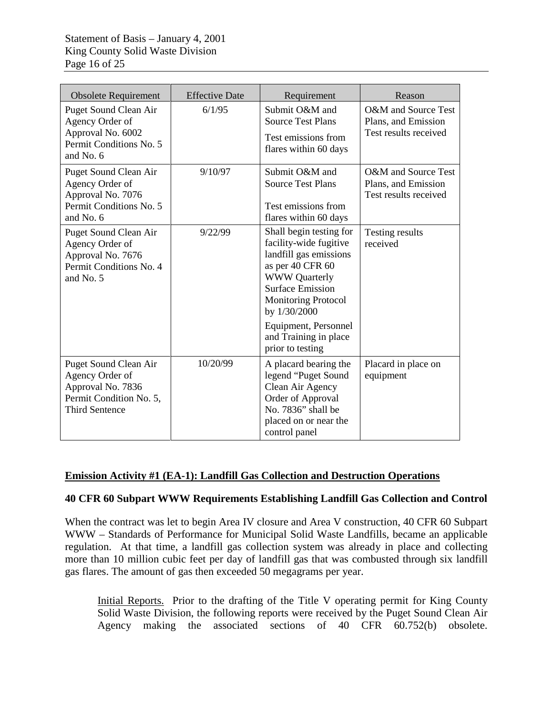| <b>Obsolete Requirement</b>                                                                                              | <b>Effective Date</b> | Requirement                                                                                                                                                                                                                                                           | Reason                                                              |
|--------------------------------------------------------------------------------------------------------------------------|-----------------------|-----------------------------------------------------------------------------------------------------------------------------------------------------------------------------------------------------------------------------------------------------------------------|---------------------------------------------------------------------|
| Puget Sound Clean Air<br>Agency Order of<br>Approval No. 6002<br>Permit Conditions No. 5<br>and No. 6                    | 6/1/95                | Submit O&M and<br><b>Source Test Plans</b><br>Test emissions from<br>flares within 60 days                                                                                                                                                                            | O&M and Source Test<br>Plans, and Emission<br>Test results received |
| Puget Sound Clean Air<br>Agency Order of<br>Approval No. 7076<br>Permit Conditions No. 5<br>and No. 6                    | 9/10/97               | Submit O&M and<br><b>Source Test Plans</b><br>Test emissions from<br>flares within 60 days                                                                                                                                                                            | O&M and Source Test<br>Plans, and Emission<br>Test results received |
| Puget Sound Clean Air<br>Agency Order of<br>Approval No. 7676<br>Permit Conditions No. 4<br>and No. 5                    | 9/22/99               | Shall begin testing for<br>facility-wide fugitive<br>landfill gas emissions<br>as per 40 CFR 60<br><b>WWW</b> Quarterly<br><b>Surface Emission</b><br><b>Monitoring Protocol</b><br>by 1/30/2000<br>Equipment, Personnel<br>and Training in place<br>prior to testing | Testing results<br>received                                         |
| <b>Puget Sound Clean Air</b><br>Agency Order of<br>Approval No. 7836<br>Permit Condition No. 5,<br><b>Third Sentence</b> | 10/20/99              | A placard bearing the<br>legend "Puget Sound<br>Clean Air Agency<br>Order of Approval<br>No. 7836" shall be<br>placed on or near the<br>control panel                                                                                                                 | Placard in place on<br>equipment                                    |

#### **Emission Activity #1 (EA-1): Landfill Gas Collection and Destruction Operations**

#### **40 CFR 60 Subpart WWW Requirements Establishing Landfill Gas Collection and Control**

When the contract was let to begin Area IV closure and Area V construction, 40 CFR 60 Subpart WWW – Standards of Performance for Municipal Solid Waste Landfills, became an applicable regulation. At that time, a landfill gas collection system was already in place and collecting more than 10 million cubic feet per day of landfill gas that was combusted through six landfill gas flares. The amount of gas then exceeded 50 megagrams per year.

Initial Reports. Prior to the drafting of the Title V operating permit for King County Solid Waste Division, the following reports were received by the Puget Sound Clean Air Agency making the associated sections of 40 CFR 60.752(b) obsolete.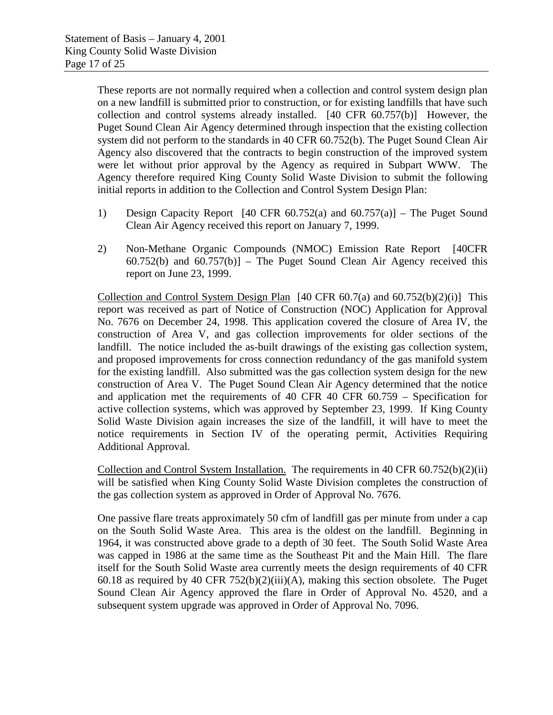These reports are not normally required when a collection and control system design plan on a new landfill is submitted prior to construction, or for existing landfills that have such collection and control systems already installed. [40 CFR 60.757(b)] However, the Puget Sound Clean Air Agency determined through inspection that the existing collection system did not perform to the standards in 40 CFR 60.752(b). The Puget Sound Clean Air Agency also discovered that the contracts to begin construction of the improved system were let without prior approval by the Agency as required in Subpart WWW. The Agency therefore required King County Solid Waste Division to submit the following initial reports in addition to the Collection and Control System Design Plan:

- 1) Design Capacity Report [40 CFR 60.752(a) and 60.757(a)] The Puget Sound Clean Air Agency received this report on January 7, 1999.
- 2) Non-Methane Organic Compounds (NMOC) Emission Rate Report [40CFR  $60.752(b)$  and  $60.757(b)$  – The Puget Sound Clean Air Agency received this report on June 23, 1999.

Collection and Control System Design Plan  $[40 \text{ CFR } 60.7(a)$  and  $[60.752(b)(2)(i)]$  This report was received as part of Notice of Construction (NOC) Application for Approval No. 7676 on December 24, 1998. This application covered the closure of Area IV, the construction of Area V, and gas collection improvements for older sections of the landfill. The notice included the as-built drawings of the existing gas collection system, and proposed improvements for cross connection redundancy of the gas manifold system for the existing landfill. Also submitted was the gas collection system design for the new construction of Area V. The Puget Sound Clean Air Agency determined that the notice and application met the requirements of 40 CFR 40 CFR 60.759 – Specification for active collection systems, which was approved by September 23, 1999. If King County Solid Waste Division again increases the size of the landfill, it will have to meet the notice requirements in Section IV of the operating permit, Activities Requiring Additional Approval.

Collection and Control System Installation. The requirements in  $40 \text{ CFR } 60.752(b)(2)(ii)$ will be satisfied when King County Solid Waste Division completes the construction of the gas collection system as approved in Order of Approval No. 7676.

One passive flare treats approximately 50 cfm of landfill gas per minute from under a cap on the South Solid Waste Area. This area is the oldest on the landfill. Beginning in 1964, it was constructed above grade to a depth of 30 feet. The South Solid Waste Area was capped in 1986 at the same time as the Southeast Pit and the Main Hill. The flare itself for the South Solid Waste area currently meets the design requirements of 40 CFR 60.18 as required by 40 CFR  $752(b)(2)(iii)(A)$ , making this section obsolete. The Puget Sound Clean Air Agency approved the flare in Order of Approval No. 4520, and a subsequent system upgrade was approved in Order of Approval No. 7096.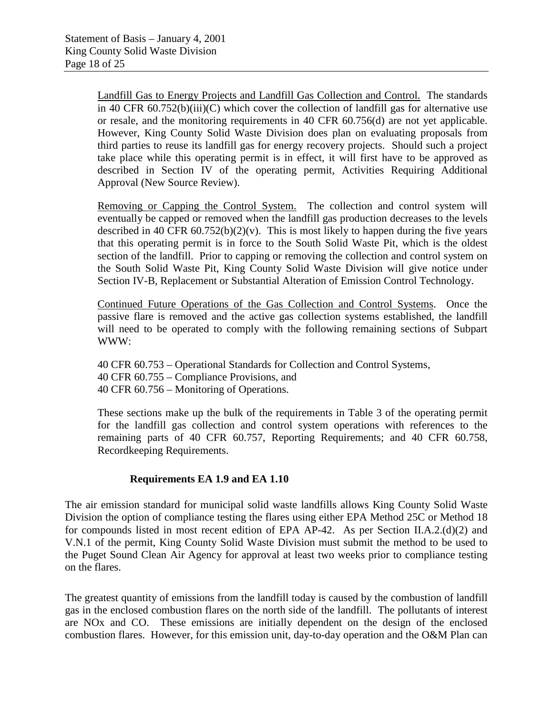Landfill Gas to Energy Projects and Landfill Gas Collection and Control. The standards in 40 CFR  $60.752(b)(iii)(C)$  which cover the collection of landfill gas for alternative use or resale, and the monitoring requirements in 40 CFR 60.756(d) are not yet applicable. However, King County Solid Waste Division does plan on evaluating proposals from third parties to reuse its landfill gas for energy recovery projects. Should such a project take place while this operating permit is in effect, it will first have to be approved as described in Section IV of the operating permit, Activities Requiring Additional Approval (New Source Review).

Removing or Capping the Control System. The collection and control system will eventually be capped or removed when the landfill gas production decreases to the levels described in 40 CFR  $60.752(b)(2)(v)$ . This is most likely to happen during the five years that this operating permit is in force to the South Solid Waste Pit, which is the oldest section of the landfill. Prior to capping or removing the collection and control system on the South Solid Waste Pit, King County Solid Waste Division will give notice under Section IV-B, Replacement or Substantial Alteration of Emission Control Technology.

Continued Future Operations of the Gas Collection and Control Systems. Once the passive flare is removed and the active gas collection systems established, the landfill will need to be operated to comply with the following remaining sections of Subpart WWW:

40 CFR 60.753 – Operational Standards for Collection and Control Systems, 40 CFR 60.755 – Compliance Provisions, and 40 CFR 60.756 – Monitoring of Operations.

These sections make up the bulk of the requirements in Table 3 of the operating permit for the landfill gas collection and control system operations with references to the remaining parts of 40 CFR 60.757, Reporting Requirements; and 40 CFR 60.758, Recordkeeping Requirements.

#### **Requirements EA 1.9 and EA 1.10**

The air emission standard for municipal solid waste landfills allows King County Solid Waste Division the option of compliance testing the flares using either EPA Method 25C or Method 18 for compounds listed in most recent edition of EPA AP-42. As per Section II.A.2.(d)(2) and V.N.1 of the permit, King County Solid Waste Division must submit the method to be used to the Puget Sound Clean Air Agency for approval at least two weeks prior to compliance testing on the flares.

The greatest quantity of emissions from the landfill today is caused by the combustion of landfill gas in the enclosed combustion flares on the north side of the landfill. The pollutants of interest are NOx and CO. These emissions are initially dependent on the design of the enclosed combustion flares. However, for this emission unit, day-to-day operation and the O&M Plan can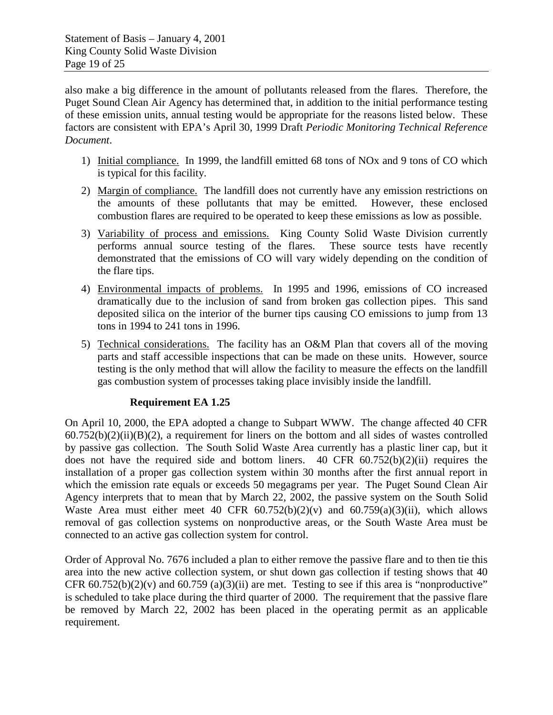also make a big difference in the amount of pollutants released from the flares. Therefore, the Puget Sound Clean Air Agency has determined that, in addition to the initial performance testing of these emission units, annual testing would be appropriate for the reasons listed below. These factors are consistent with EPA's April 30, 1999 Draft *Periodic Monitoring Technical Reference Document*.

- 1) Initial compliance. In 1999, the landfill emitted 68 tons of NOx and 9 tons of CO which is typical for this facility.
- 2) Margin of compliance. The landfill does not currently have any emission restrictions on the amounts of these pollutants that may be emitted. However, these enclosed combustion flares are required to be operated to keep these emissions as low as possible.
- 3) Variability of process and emissions. King County Solid Waste Division currently performs annual source testing of the flares. These source tests have recently demonstrated that the emissions of CO will vary widely depending on the condition of the flare tips.
- 4) Environmental impacts of problems. In 1995 and 1996, emissions of CO increased dramatically due to the inclusion of sand from broken gas collection pipes. This sand deposited silica on the interior of the burner tips causing CO emissions to jump from 13 tons in 1994 to 241 tons in 1996.
- 5) Technical considerations. The facility has an O&M Plan that covers all of the moving parts and staff accessible inspections that can be made on these units. However, source testing is the only method that will allow the facility to measure the effects on the landfill gas combustion system of processes taking place invisibly inside the landfill.

### **Requirement EA 1.25**

On April 10, 2000, the EPA adopted a change to Subpart WWW. The change affected 40 CFR  $60.752(b)(2)(ii)(B)(2)$ , a requirement for liners on the bottom and all sides of wastes controlled by passive gas collection. The South Solid Waste Area currently has a plastic liner cap, but it does not have the required side and bottom liners. 40 CFR 60.752(b)(2)(ii) requires the installation of a proper gas collection system within 30 months after the first annual report in which the emission rate equals or exceeds 50 megagrams per year. The Puget Sound Clean Air Agency interprets that to mean that by March 22, 2002, the passive system on the South Solid Waste Area must either meet 40 CFR  $60.752(b)(2)(v)$  and  $60.759(a)(3)(ii)$ , which allows removal of gas collection systems on nonproductive areas, or the South Waste Area must be connected to an active gas collection system for control.

Order of Approval No. 7676 included a plan to either remove the passive flare and to then tie this area into the new active collection system, or shut down gas collection if testing shows that 40 CFR  $60.752(b)(2)(v)$  and  $60.759(a)(3)(ii)$  are met. Testing to see if this area is "nonproductive" is scheduled to take place during the third quarter of 2000. The requirement that the passive flare be removed by March 22, 2002 has been placed in the operating permit as an applicable requirement.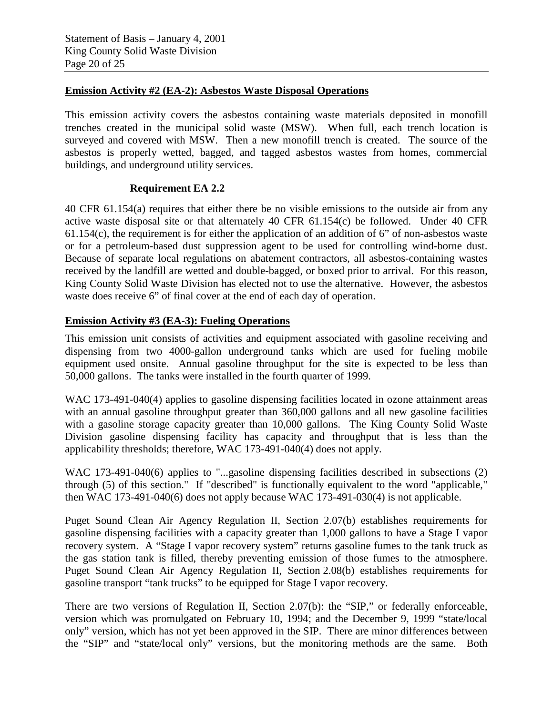#### **Emission Activity #2 (EA-2): Asbestos Waste Disposal Operations**

This emission activity covers the asbestos containing waste materials deposited in monofill trenches created in the municipal solid waste (MSW). When full, each trench location is surveyed and covered with MSW. Then a new monofill trench is created. The source of the asbestos is properly wetted, bagged, and tagged asbestos wastes from homes, commercial buildings, and underground utility services.

#### **Requirement EA 2.2**

40 CFR 61.154(a) requires that either there be no visible emissions to the outside air from any active waste disposal site or that alternately 40 CFR 61.154(c) be followed. Under 40 CFR 61.154(c), the requirement is for either the application of an addition of 6" of non-asbestos waste or for a petroleum-based dust suppression agent to be used for controlling wind-borne dust. Because of separate local regulations on abatement contractors, all asbestos-containing wastes received by the landfill are wetted and double-bagged, or boxed prior to arrival. For this reason, King County Solid Waste Division has elected not to use the alternative. However, the asbestos waste does receive 6" of final cover at the end of each day of operation.

#### **Emission Activity #3 (EA-3): Fueling Operations**

This emission unit consists of activities and equipment associated with gasoline receiving and dispensing from two 4000-gallon underground tanks which are used for fueling mobile equipment used onsite. Annual gasoline throughput for the site is expected to be less than 50,000 gallons. The tanks were installed in the fourth quarter of 1999.

WAC 173-491-040(4) applies to gasoline dispensing facilities located in ozone attainment areas with an annual gasoline throughput greater than 360,000 gallons and all new gasoline facilities with a gasoline storage capacity greater than 10,000 gallons. The King County Solid Waste Division gasoline dispensing facility has capacity and throughput that is less than the applicability thresholds; therefore, WAC 173-491-040(4) does not apply.

WAC 173-491-040(6) applies to "...gasoline dispensing facilities described in subsections (2) through (5) of this section." If "described" is functionally equivalent to the word "applicable," then WAC 173-491-040(6) does not apply because WAC 173-491-030(4) is not applicable.

Puget Sound Clean Air Agency Regulation II, Section 2.07(b) establishes requirements for gasoline dispensing facilities with a capacity greater than 1,000 gallons to have a Stage I vapor recovery system. A "Stage I vapor recovery system" returns gasoline fumes to the tank truck as the gas station tank is filled, thereby preventing emission of those fumes to the atmosphere. Puget Sound Clean Air Agency Regulation II, Section 2.08(b) establishes requirements for gasoline transport "tank trucks" to be equipped for Stage I vapor recovery.

There are two versions of Regulation II, Section 2.07(b): the "SIP," or federally enforceable, version which was promulgated on February 10, 1994; and the December 9, 1999 "state/local only" version, which has not yet been approved in the SIP. There are minor differences between the "SIP" and "state/local only" versions, but the monitoring methods are the same. Both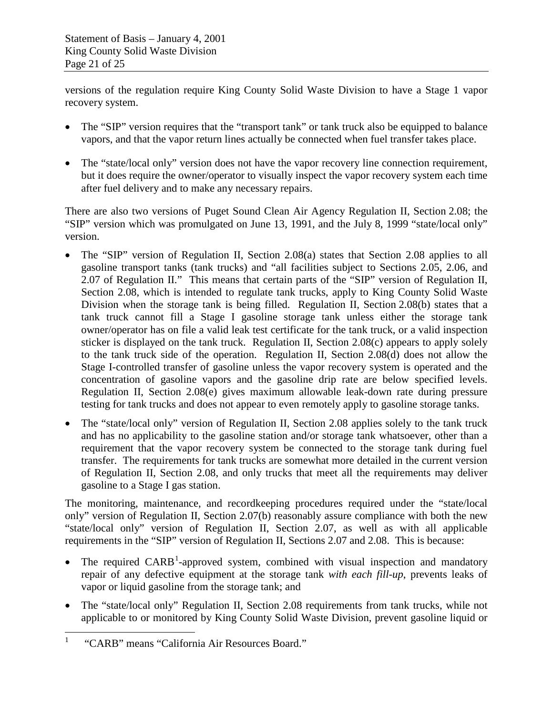versions of the regulation require King County Solid Waste Division to have a Stage 1 vapor recovery system.

- The "SIP" version requires that the "transport tank" or tank truck also be equipped to balance vapors, and that the vapor return lines actually be connected when fuel transfer takes place.
- The "state/local only" version does not have the vapor recovery line connection requirement, but it does require the owner/operator to visually inspect the vapor recovery system each time after fuel delivery and to make any necessary repairs.

There are also two versions of Puget Sound Clean Air Agency Regulation II, Section 2.08; the "SIP" version which was promulgated on June 13, 1991, and the July 8, 1999 "state/local only" version.

- The "SIP" version of Regulation II, Section 2.08(a) states that Section 2.08 applies to all gasoline transport tanks (tank trucks) and "all facilities subject to Sections 2.05, 2.06, and 2.07 of Regulation II." This means that certain parts of the "SIP" version of Regulation II, Section 2.08, which is intended to regulate tank trucks, apply to King County Solid Waste Division when the storage tank is being filled. Regulation II, Section 2.08(b) states that a tank truck cannot fill a Stage I gasoline storage tank unless either the storage tank owner/operator has on file a valid leak test certificate for the tank truck, or a valid inspection sticker is displayed on the tank truck. Regulation II, Section 2.08(c) appears to apply solely to the tank truck side of the operation. Regulation II, Section 2.08(d) does not allow the Stage I-controlled transfer of gasoline unless the vapor recovery system is operated and the concentration of gasoline vapors and the gasoline drip rate are below specified levels. Regulation II, Section 2.08(e) gives maximum allowable leak-down rate during pressure testing for tank trucks and does not appear to even remotely apply to gasoline storage tanks.
- The "state/local only" version of Regulation II, Section 2.08 applies solely to the tank truck and has no applicability to the gasoline station and/or storage tank whatsoever, other than a requirement that the vapor recovery system be connected to the storage tank during fuel transfer. The requirements for tank trucks are somewhat more detailed in the current version of Regulation II, Section 2.08, and only trucks that meet all the requirements may deliver gasoline to a Stage I gas station.

The monitoring, maintenance, and recordkeeping procedures required under the "state/local only" version of Regulation II, Section 2.07(b) reasonably assure compliance with both the new "state/local only" version of Regulation II, Section 2.07, as well as with all applicable requirements in the "SIP" version of Regulation II, Sections 2.07 and 2.08. This is because:

- The required  $CARB<sup>1</sup>$  $CARB<sup>1</sup>$  $CARB<sup>1</sup>$ -approved system, combined with visual inspection and mandatory repair of any defective equipment at the storage tank *with each fill-up*, prevents leaks of vapor or liquid gasoline from the storage tank; and
- The "state/local only" Regulation II, Section 2.08 requirements from tank trucks, while not applicable to or monitored by King County Solid Waste Division, prevent gasoline liquid or

<span id="page-20-0"></span><sup>&</sup>lt;sup>1</sup> "CARB" means "California Air Resources Board."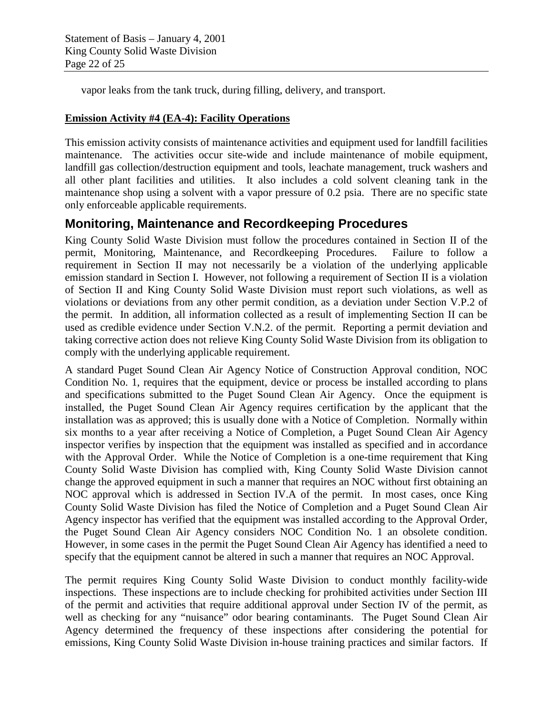vapor leaks from the tank truck, during filling, delivery, and transport.

#### **Emission Activity #4 (EA-4): Facility Operations**

This emission activity consists of maintenance activities and equipment used for landfill facilities maintenance. The activities occur site-wide and include maintenance of mobile equipment, landfill gas collection/destruction equipment and tools, leachate management, truck washers and all other plant facilities and utilities. It also includes a cold solvent cleaning tank in the maintenance shop using a solvent with a vapor pressure of 0.2 psia. There are no specific state only enforceable applicable requirements.

### **Monitoring, Maintenance and Recordkeeping Procedures**

King County Solid Waste Division must follow the procedures contained in Section II of the permit, Monitoring, Maintenance, and Recordkeeping Procedures. Failure to follow a requirement in Section II may not necessarily be a violation of the underlying applicable emission standard in Section I. However, not following a requirement of Section II is a violation of Section II and King County Solid Waste Division must report such violations, as well as violations or deviations from any other permit condition, as a deviation under Section V.P.2 of the permit. In addition, all information collected as a result of implementing Section II can be used as credible evidence under Section V.N.2. of the permit. Reporting a permit deviation and taking corrective action does not relieve King County Solid Waste Division from its obligation to comply with the underlying applicable requirement.

A standard Puget Sound Clean Air Agency Notice of Construction Approval condition, NOC Condition No. 1, requires that the equipment, device or process be installed according to plans and specifications submitted to the Puget Sound Clean Air Agency. Once the equipment is installed, the Puget Sound Clean Air Agency requires certification by the applicant that the installation was as approved; this is usually done with a Notice of Completion. Normally within six months to a year after receiving a Notice of Completion, a Puget Sound Clean Air Agency inspector verifies by inspection that the equipment was installed as specified and in accordance with the Approval Order. While the Notice of Completion is a one-time requirement that King County Solid Waste Division has complied with, King County Solid Waste Division cannot change the approved equipment in such a manner that requires an NOC without first obtaining an NOC approval which is addressed in Section IV.A of the permit. In most cases, once King County Solid Waste Division has filed the Notice of Completion and a Puget Sound Clean Air Agency inspector has verified that the equipment was installed according to the Approval Order, the Puget Sound Clean Air Agency considers NOC Condition No. 1 an obsolete condition. However, in some cases in the permit the Puget Sound Clean Air Agency has identified a need to specify that the equipment cannot be altered in such a manner that requires an NOC Approval.

The permit requires King County Solid Waste Division to conduct monthly facility-wide inspections. These inspections are to include checking for prohibited activities under Section III of the permit and activities that require additional approval under Section IV of the permit, as well as checking for any "nuisance" odor bearing contaminants. The Puget Sound Clean Air Agency determined the frequency of these inspections after considering the potential for emissions, King County Solid Waste Division in-house training practices and similar factors. If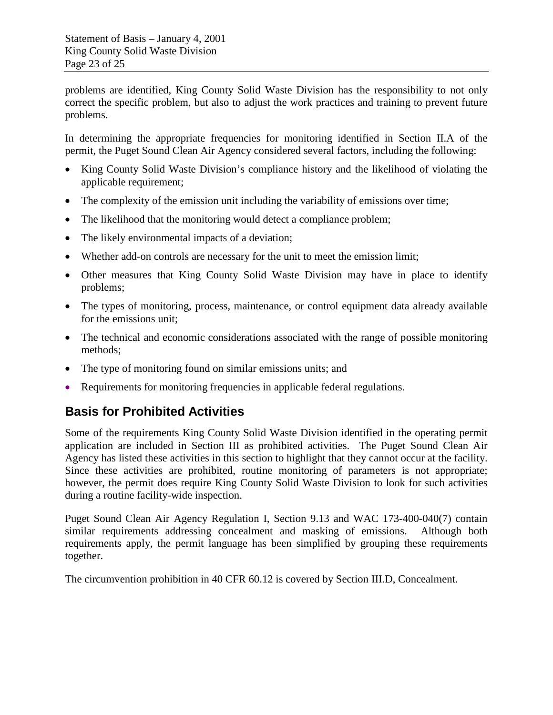problems are identified, King County Solid Waste Division has the responsibility to not only correct the specific problem, but also to adjust the work practices and training to prevent future problems.

In determining the appropriate frequencies for monitoring identified in Section II.A of the permit, the Puget Sound Clean Air Agency considered several factors, including the following:

- King County Solid Waste Division's compliance history and the likelihood of violating the applicable requirement;
- The complexity of the emission unit including the variability of emissions over time;
- The likelihood that the monitoring would detect a compliance problem;
- The likely environmental impacts of a deviation;
- Whether add-on controls are necessary for the unit to meet the emission limit;
- Other measures that King County Solid Waste Division may have in place to identify problems;
- The types of monitoring, process, maintenance, or control equipment data already available for the emissions unit;
- The technical and economic considerations associated with the range of possible monitoring methods;
- The type of monitoring found on similar emissions units; and
- Requirements for monitoring frequencies in applicable federal regulations.

### **Basis for Prohibited Activities**

Some of the requirements King County Solid Waste Division identified in the operating permit application are included in Section III as prohibited activities. The Puget Sound Clean Air Agency has listed these activities in this section to highlight that they cannot occur at the facility. Since these activities are prohibited, routine monitoring of parameters is not appropriate; however, the permit does require King County Solid Waste Division to look for such activities during a routine facility-wide inspection.

Puget Sound Clean Air Agency Regulation I, Section 9.13 and WAC 173-400-040(7) contain similar requirements addressing concealment and masking of emissions. Although both requirements apply, the permit language has been simplified by grouping these requirements together.

The circumvention prohibition in 40 CFR 60.12 is covered by Section III.D, Concealment.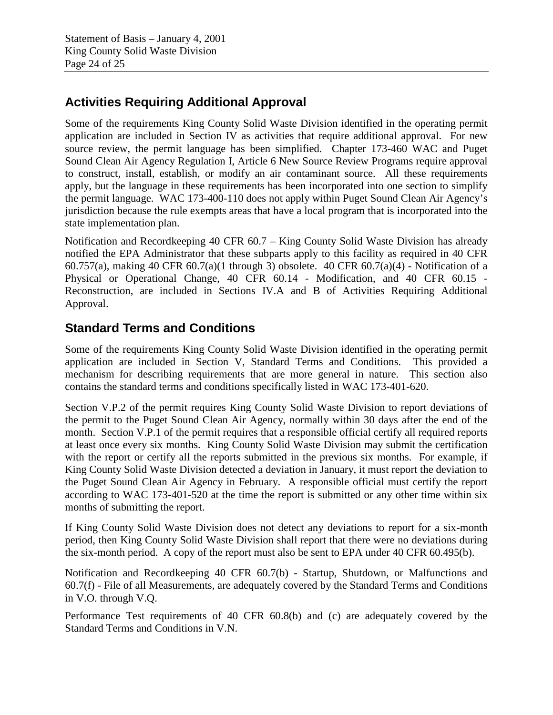# **Activities Requiring Additional Approval**

Some of the requirements King County Solid Waste Division identified in the operating permit application are included in Section IV as activities that require additional approval. For new source review, the permit language has been simplified. Chapter 173-460 WAC and Puget Sound Clean Air Agency Regulation I, Article 6 New Source Review Programs require approval to construct, install, establish, or modify an air contaminant source. All these requirements apply, but the language in these requirements has been incorporated into one section to simplify the permit language. WAC 173-400-110 does not apply within Puget Sound Clean Air Agency's jurisdiction because the rule exempts areas that have a local program that is incorporated into the state implementation plan.

Notification and Recordkeeping 40 CFR 60.7 – King County Solid Waste Division has already notified the EPA Administrator that these subparts apply to this facility as required in 40 CFR 60.757(a), making 40 CFR 60.7(a)(1 through 3) obsolete. 40 CFR 60.7(a)(4) - Notification of a Physical or Operational Change, 40 CFR 60.14 - Modification, and 40 CFR 60.15 - Reconstruction, are included in Sections IV.A and B of Activities Requiring Additional Approval.

# **Standard Terms and Conditions**

Some of the requirements King County Solid Waste Division identified in the operating permit application are included in Section V, Standard Terms and Conditions. This provided a mechanism for describing requirements that are more general in nature. This section also contains the standard terms and conditions specifically listed in WAC 173-401-620.

Section V.P.2 of the permit requires King County Solid Waste Division to report deviations of the permit to the Puget Sound Clean Air Agency, normally within 30 days after the end of the month. Section V.P.1 of the permit requires that a responsible official certify all required reports at least once every six months. King County Solid Waste Division may submit the certification with the report or certify all the reports submitted in the previous six months. For example, if King County Solid Waste Division detected a deviation in January, it must report the deviation to the Puget Sound Clean Air Agency in February. A responsible official must certify the report according to WAC 173-401-520 at the time the report is submitted or any other time within six months of submitting the report.

If King County Solid Waste Division does not detect any deviations to report for a six-month period, then King County Solid Waste Division shall report that there were no deviations during the six-month period. A copy of the report must also be sent to EPA under 40 CFR 60.495(b).

Notification and Recordkeeping 40 CFR 60.7(b) - Startup, Shutdown, or Malfunctions and 60.7(f) - File of all Measurements, are adequately covered by the Standard Terms and Conditions in V.O. through V.Q.

Performance Test requirements of 40 CFR 60.8(b) and (c) are adequately covered by the Standard Terms and Conditions in V.N.